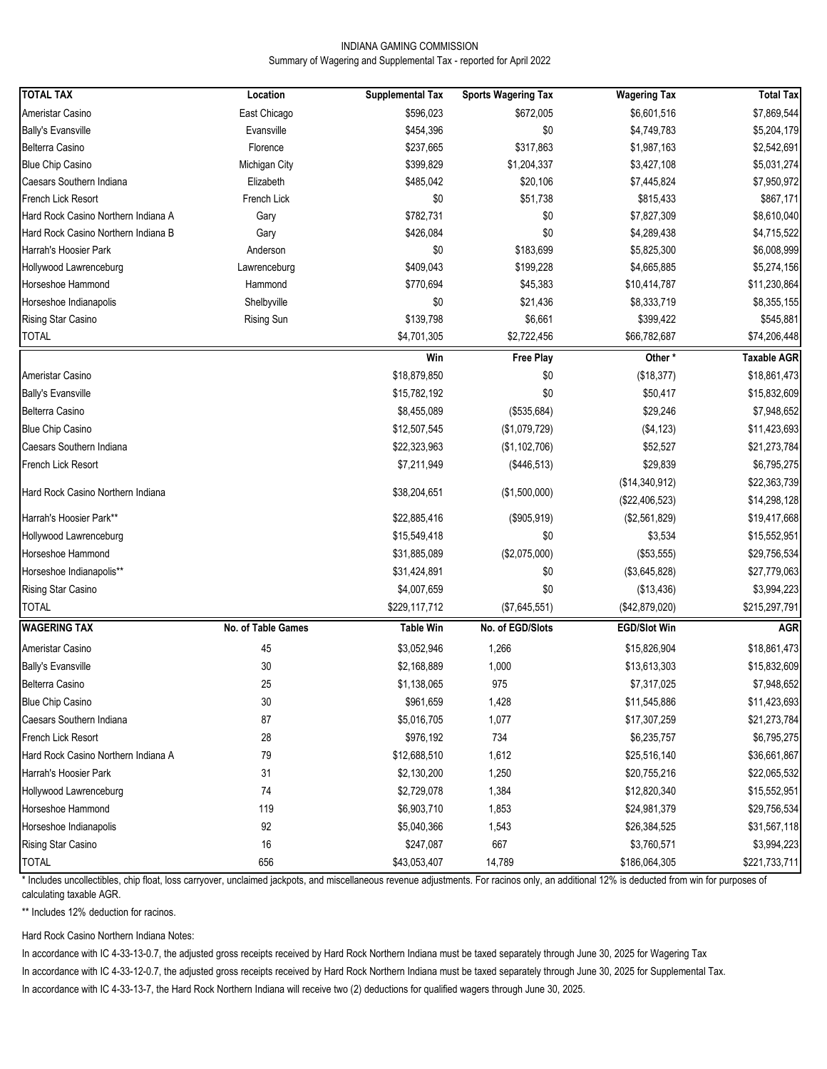#### INDIANA GAMING COMMISSION Summary of Wagering and Supplemental Tax - reported for April 2022

| <b>TOTAL TAX</b>                    | Location           | <b>Supplemental Tax</b> | <b>Sports Wagering Tax</b> | <b>Wagering Tax</b>             | <b>Total Tax</b>   |
|-------------------------------------|--------------------|-------------------------|----------------------------|---------------------------------|--------------------|
| Ameristar Casino                    | East Chicago       | \$596,023               | \$672,005                  | \$6,601,516                     | \$7,869,544        |
| <b>Bally's Evansville</b>           | Evansville         | \$454,396               | \$0                        | \$4,749,783                     | \$5,204,179        |
| Belterra Casino                     | Florence           | \$237,665               | \$317,863                  | \$1,987,163                     | \$2,542,691        |
| <b>Blue Chip Casino</b>             | Michigan City      | \$399,829               | \$1,204,337                | \$3,427,108                     | \$5,031,274        |
| Caesars Southern Indiana            | Elizabeth          | \$485,042               | \$20,106                   | \$7,445,824                     | \$7,950,972        |
| French Lick Resort                  | French Lick        | \$0                     | \$51,738                   | \$815,433                       | \$867,171          |
| Hard Rock Casino Northern Indiana A | Gary               | \$782,731               | \$0                        | \$7,827,309                     | \$8,610,040        |
| Hard Rock Casino Northern Indiana B | Gary               | \$426,084               | \$0                        | \$4,289,438                     | \$4,715,522        |
| Harrah's Hoosier Park               | Anderson           | \$0                     | \$183,699                  | \$5,825,300                     | \$6,008,999        |
| Hollywood Lawrenceburg              | Lawrenceburg       | \$409,043               | \$199,228                  | \$4,665,885                     | \$5,274,156        |
| Horseshoe Hammond                   | Hammond            | \$770,694               | \$45,383                   | \$10,414,787                    | \$11,230,864       |
| Horseshoe Indianapolis              | Shelbyville        | \$0                     | \$21,436                   | \$8,333,719                     | \$8,355,155        |
| Rising Star Casino                  | Rising Sun         | \$139,798               | \$6,661                    | \$399,422                       | \$545,881          |
| <b>TOTAL</b>                        |                    | \$4,701,305             | \$2,722,456                | \$66,782,687                    | \$74,206,448       |
|                                     |                    | Win                     | Free Play                  | Other*                          | <b>Taxable AGR</b> |
| Ameristar Casino                    |                    | \$18,879,850            | \$0                        | (\$18,377)                      | \$18,861,473       |
| <b>Bally's Evansville</b>           |                    | \$15,782,192            | \$0                        | \$50,417                        | \$15,832,609       |
| Belterra Casino                     |                    | \$8,455,089             | (\$535,684)                | \$29,246                        | \$7,948,652        |
| <b>Blue Chip Casino</b>             |                    | \$12,507,545            | (\$1,079,729)              | (\$4, 123)                      | \$11,423,693       |
| Caesars Southern Indiana            |                    | \$22,323,963            | (\$1,102,706)              | \$52,527                        | \$21,273,784       |
| French Lick Resort                  |                    | \$7,211,949             | (\$446,513)                | \$29,839                        | \$6,795,275        |
|                                     |                    |                         |                            | (\$14,340,912)                  | \$22,363,739       |
| Hard Rock Casino Northern Indiana   |                    | \$38,204,651            | (\$1,500,000)              |                                 |                    |
| Harrah's Hoosier Park**             |                    |                         |                            | (\$22,406,523)<br>(\$2,561,829) | \$14,298,128       |
| Hollywood Lawrenceburg              |                    | \$22,885,416            | (\$905,919)<br>\$0         |                                 | \$19,417,668       |
| Horseshoe Hammond                   |                    | \$15,549,418            | (\$2,075,000)              | \$3,534                         | \$15,552,951       |
| Horseshoe Indianapolis**            |                    | \$31,885,089            |                            | (\$53,555)                      | \$29,756,534       |
|                                     |                    | \$31,424,891            | \$0                        | (\$3,645,828)                   | \$27,779,063       |
| Rising Star Casino                  |                    | \$4,007,659             | \$0                        | (\$13,436)                      | \$3,994,223        |
| <b>TOTAL</b>                        |                    | \$229,117,712           | (\$7,645,551)              | (\$42,879,020)                  | \$215,297,791      |
| <b>WAGERING TAX</b>                 | No. of Table Games | <b>Table Win</b>        | No. of EGD/Slots           | <b>EGD/Slot Win</b>             | <b>AGR</b>         |
| Ameristar Casino                    | 45                 | \$3,052,946             | 1,266                      | \$15,826,904                    | \$18,861,473       |
| <b>Bally's Evansville</b>           | 30                 | \$2,168,889             | 1,000                      | \$13,613,303                    | \$15,832,609       |
| Belterra Casino                     | 25                 | \$1,138,065             | 975                        | \$7,317,025                     | \$7,948,652        |
| <b>Blue Chip Casino</b>             | 30                 | \$961,659               | 1,428                      | \$11,545,886                    | \$11,423,693       |
| Caesars Southern Indiana            | 87                 | \$5,016,705             | 1,077                      | \$17,307,259                    | \$21,273,784       |
| French Lick Resort                  | 28                 | \$976,192               | 734                        | \$6,235,757                     | \$6,795,275        |
| Hard Rock Casino Northern Indiana A | 79                 | \$12,688,510            | 1,612                      | \$25,516,140                    | \$36,661,867       |
| Harrah's Hoosier Park               | 31                 | \$2,130,200             | 1,250                      | \$20,755,216                    | \$22,065,532       |
| Hollywood Lawrenceburg              | 74                 | \$2,729,078             | 1,384                      | \$12,820,340                    | \$15,552,951       |
| Horseshoe Hammond                   | 119                | \$6,903,710             | 1,853                      | \$24,981,379                    | \$29,756,534       |
| Horseshoe Indianapolis              | 92                 | \$5,040,366             | 1,543                      | \$26,384,525                    | \$31,567,118       |
| Rising Star Casino                  | 16                 | \$247,087               | 667                        | \$3,760,571                     | \$3,994,223        |
| <b>TOTAL</b>                        | 656                | \$43,053,407            | 14,789                     | \$186,064,305                   | \$221,733,711      |

\* Includes uncollectibles, chip float, loss carryover, unclaimed jackpots, and miscellaneous revenue adjustments. For racinos only, an additional 12% is deducted from win for purposes of calculating taxable AGR.

\*\* Includes 12% deduction for racinos.

Hard Rock Casino Northern Indiana Notes:

In accordance with IC 4-33-13-0.7, the adjusted gross receipts received by Hard Rock Northern Indiana must be taxed separately through June 30, 2025 for Wagering Tax

In accordance with IC 4-33-12-0.7, the adjusted gross receipts received by Hard Rock Northern Indiana must be taxed separately through June 30, 2025 for Supplemental Tax.

In accordance with IC 4-33-13-7, the Hard Rock Northern Indiana will receive two (2) deductions for qualified wagers through June 30, 2025.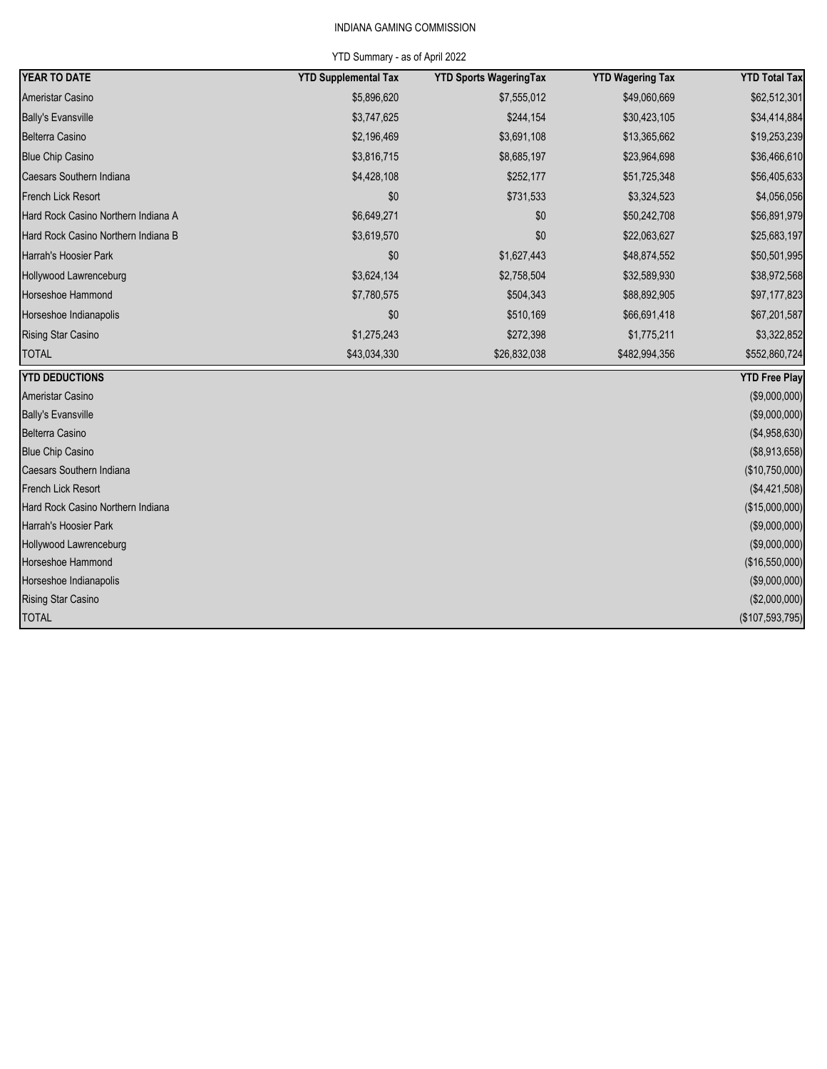# INDIANA GAMING COMMISSION

### YTD Summary - as of April 2022

| <b>YEAR TO DATE</b>                 | <b>YTD Supplemental Tax</b> | <b>YTD Sports WageringTax</b> | <b>YTD Wagering Tax</b> | <b>YTD Total Tax</b> |
|-------------------------------------|-----------------------------|-------------------------------|-------------------------|----------------------|
| Ameristar Casino                    | \$5,896,620                 | \$7,555,012                   | \$49,060,669            | \$62,512,301         |
| <b>Bally's Evansville</b>           | \$3,747,625                 | \$244,154                     | \$30,423,105            | \$34,414,884         |
| Belterra Casino                     | \$2,196,469                 | \$3,691,108                   | \$13,365,662            | \$19,253,239         |
| <b>Blue Chip Casino</b>             | \$3,816,715                 | \$8,685,197                   | \$23,964,698            | \$36,466,610         |
| Caesars Southern Indiana            | \$4,428,108                 | \$252,177                     | \$51,725,348            | \$56,405,633         |
| <b>French Lick Resort</b>           | \$0                         | \$731,533                     | \$3,324,523             | \$4,056,056          |
| Hard Rock Casino Northern Indiana A | \$6,649,271                 | \$0                           | \$50,242,708            | \$56,891,979         |
| Hard Rock Casino Northern Indiana B | \$3,619,570                 | \$0                           | \$22,063,627            | \$25,683,197         |
| Harrah's Hoosier Park               | \$0                         | \$1,627,443                   | \$48,874,552            | \$50,501,995         |
| Hollywood Lawrenceburg              | \$3,624,134                 | \$2,758,504                   | \$32,589,930            | \$38,972,568         |
| Horseshoe Hammond                   | \$7,780,575                 | \$504,343                     | \$88,892,905            | \$97,177,823         |
| Horseshoe Indianapolis              | \$0                         | \$510,169                     | \$66,691,418            | \$67,201,587         |
| <b>Rising Star Casino</b>           | \$1,275,243                 | \$272,398                     | \$1,775,211             | \$3,322,852          |
| <b>TOTAL</b>                        | \$43,034,330                | \$26,832,038                  | \$482,994,356           | \$552,860,724        |
| <b>YTD DEDUCTIONS</b>               |                             |                               |                         | <b>YTD Free Play</b> |
| Ameristar Casino                    |                             |                               |                         | (\$9,000,000)        |
| <b>Bally's Evansville</b>           |                             |                               |                         | (\$9,000,000)        |
| <b>Belterra Casino</b>              |                             |                               |                         | (\$4,958,630)        |
| <b>Blue Chip Casino</b>             |                             |                               |                         | (\$8,913,658)        |
| Caesars Southern Indiana            |                             |                               |                         | (\$10,750,000)       |
| French Lick Resort                  |                             |                               |                         | (\$4,421,508)        |
| Hard Rock Casino Northern Indiana   |                             |                               |                         | (\$15,000,000)       |
| Harrah's Hoosier Park               |                             |                               |                         | (\$9,000,000)        |
| Hollywood Lawrenceburg              |                             |                               |                         | (\$9,000,000)        |
| Horseshoe Hammond                   |                             |                               |                         | (\$16,550,000)       |
| Horseshoe Indianapolis              |                             |                               |                         | (\$9,000,000)        |
| <b>Rising Star Casino</b>           |                             |                               |                         | (\$2,000,000)        |
| <b>TOTAL</b>                        |                             |                               |                         | (\$107,593,795)      |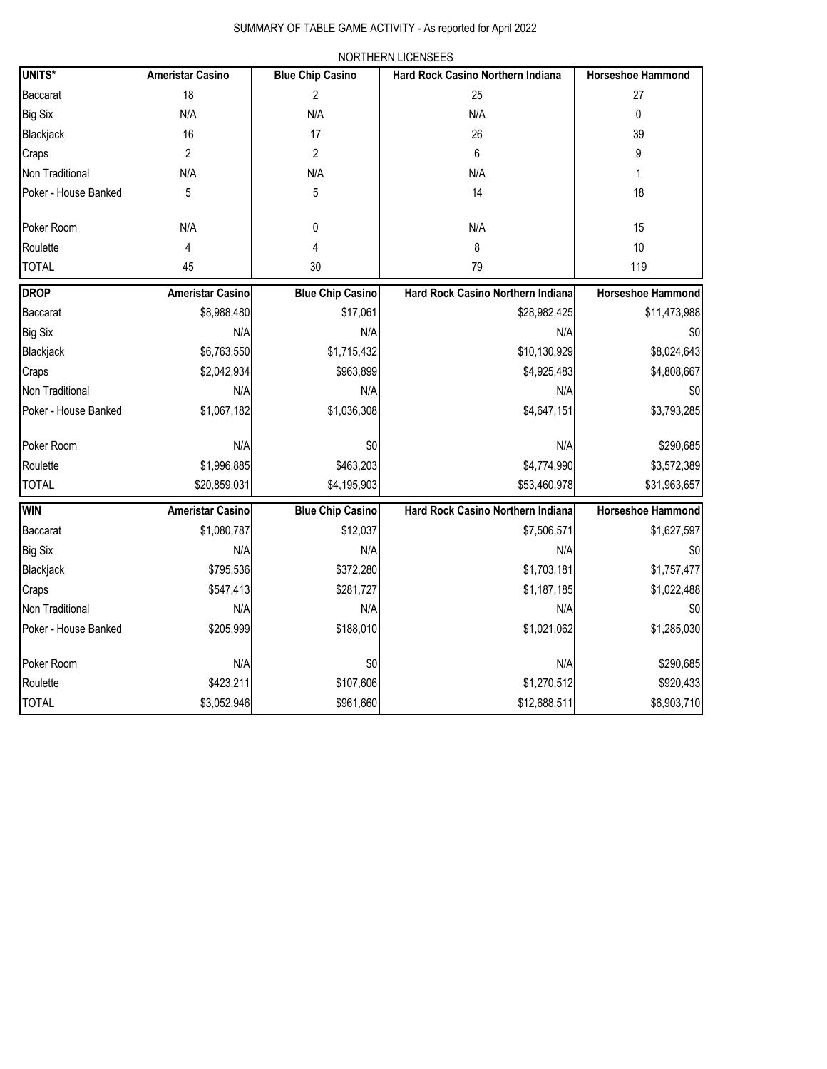|                      |                         |                         | <b>INURTHERIN LIUEINOEEO</b>      |                          |
|----------------------|-------------------------|-------------------------|-----------------------------------|--------------------------|
| UNITS*               | <b>Ameristar Casino</b> | <b>Blue Chip Casino</b> | Hard Rock Casino Northern Indiana | <b>Horseshoe Hammond</b> |
| Baccarat             | 18                      | 2                       | 25                                | 27                       |
| Big Six              | N/A                     | N/A                     | N/A                               | 0                        |
| Blackjack            | 16                      | 17                      | 26                                | 39                       |
| Craps                | 2                       | $\overline{c}$          | 6                                 | 9                        |
| Non Traditional      | N/A                     | N/A                     | N/A                               | 1                        |
| Poker - House Banked | 5                       | 5                       | 14                                | 18                       |
|                      |                         |                         |                                   |                          |
| Poker Room           | N/A                     | 0                       | N/A                               | 15                       |
| Roulette             | 4                       | 4                       | 8                                 | 10                       |
| <b>TOTAL</b>         | 45                      | 30                      | 79                                | 119                      |
| Drop                 | <b>Ameristar Casino</b> | <b>Blue Chip Casino</b> | Hard Rock Casino Northern Indiana | <b>Horseshoe Hammond</b> |
| Baccarat             | \$8,988,480             | \$17,061                | \$28,982,425                      | \$11,473,988             |
| Big Six              | N/A                     | N/A                     | N/A                               | \$0                      |
| Blackjack            | \$6,763,550             | \$1,715,432             | \$10,130,929                      | \$8,024,643              |
| Craps                | \$2,042,934             | \$963,899               | \$4,925,483                       | \$4,808,667              |
| Non Traditional      | N/A                     | N/A                     | N/A                               | \$0                      |
| Poker - House Banked | \$1,067,182             | \$1,036,308             | \$4,647,151                       | \$3,793,285              |
|                      |                         |                         |                                   |                          |
| Poker Room           | N/A                     | \$0                     | N/A                               | \$290,685                |
| Roulette             | \$1,996,885             | \$463,203               | \$4,774,990                       | \$3,572,389              |
| <b>TOTAL</b>         | \$20,859,031            | \$4,195,903             | \$53,460,978                      | \$31,963,657             |
| Win                  | <b>Ameristar Casino</b> | <b>Blue Chip Casino</b> | Hard Rock Casino Northern Indiana | <b>Horseshoe Hammond</b> |
| Baccarat             | \$1,080,787             | \$12,037                | \$7,506,571                       | \$1,627,597              |
| Big Six              | N/A                     | N/A                     | N/A                               | \$0                      |
| Blackjack            | \$795,536               | \$372,280               | \$1,703,181                       | \$1,757,477              |
| Craps                | \$547,413               | \$281,727               | \$1,187,185                       | \$1,022,488              |
| Non Traditional      | N/A                     | N/A                     | N/A                               | \$0                      |
| Poker - House Banked | \$205,999               | \$188,010               | \$1,021,062                       | \$1,285,030              |
|                      |                         |                         |                                   |                          |
| Poker Room           | N/A                     | \$0                     | N/A                               | \$290,685                |
| Roulette             | \$423,211               | \$107,606               | \$1,270,512                       | \$920,433                |
| <b>TOTAL</b>         | \$3,052,946             | \$961,660               | \$12,688,511                      | \$6,903,710              |

## NORTHERN LICENSEES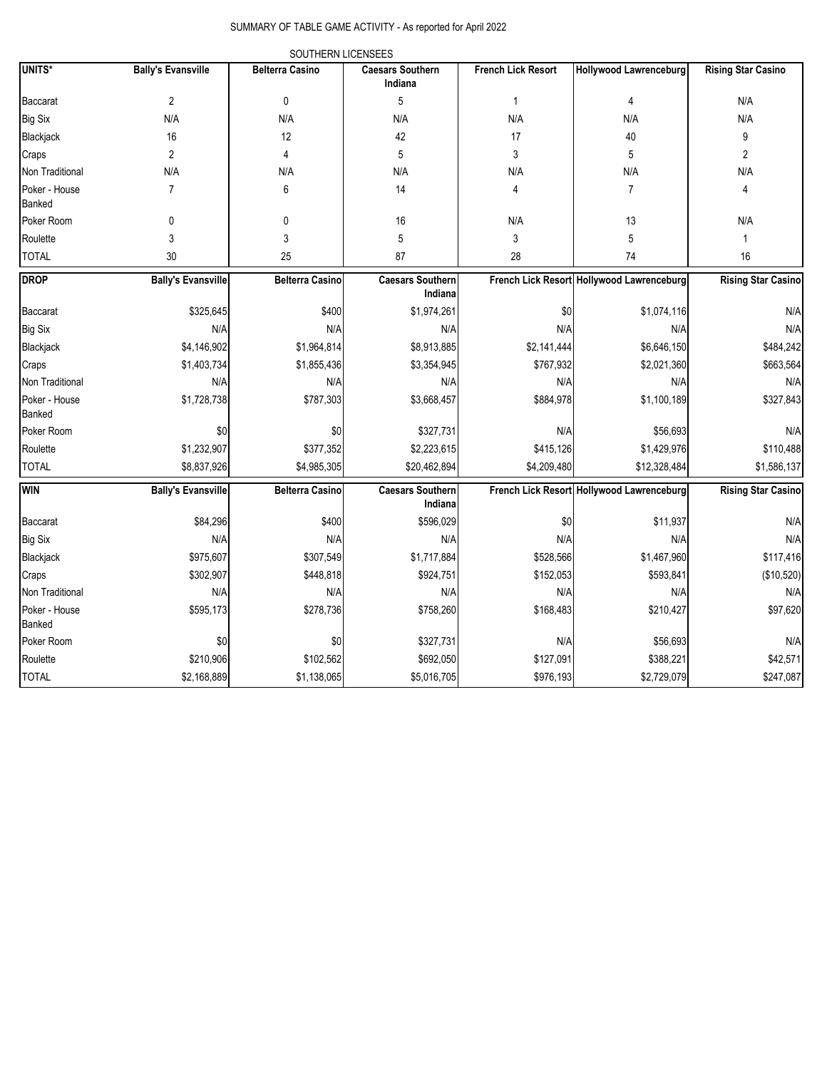### SUMMARY OF TABLE GAME ACTIVITY - As reported for April 2022

|                         |                           | SOUTHERN LICENSEES     |                                    |                           |                                           |                           |
|-------------------------|---------------------------|------------------------|------------------------------------|---------------------------|-------------------------------------------|---------------------------|
| <b>UNITS*</b>           | <b>Bally's Evansville</b> | <b>Belterra Casino</b> | <b>Caesars Southern</b><br>Indiana | <b>French Lick Resort</b> | <b>Hollywood Lawrenceburg</b>             | <b>Rising Star Casino</b> |
| Baccarat                | $\overline{2}$            | 0                      | 5                                  | $\mathbf{1}$              | 4                                         | N/A                       |
| <b>Big Six</b>          | N/A                       | N/A                    | N/A                                | N/A                       | N/A                                       | N/A                       |
| Blackjack               | $16\,$                    | 12                     | 42                                 | 17                        | 40                                        | 9                         |
| Craps                   | $\overline{2}$            | 4                      | 5                                  | 3                         | 5                                         | $\overline{2}$            |
| Non Traditional         | N/A                       | N/A                    | N/A                                | N/A                       | N/A                                       | N/A                       |
| Poker - House<br>Banked | 7                         | 6                      | 14                                 | 4                         | 7                                         | 4                         |
| Poker Room              | 0                         | 0                      | 16                                 | N/A                       | 13                                        | N/A                       |
| Roulette                | 3                         | 3                      | 5                                  | 3                         | 5                                         | 1                         |
| <b>TOTAL</b>            | 30                        | 25                     | 87                                 | 28                        | 74                                        | 16                        |
| <b>DROP</b>             | <b>Bally's Evansville</b> | <b>Belterra Casino</b> | <b>Caesars Southern</b><br>Indiana |                           | French Lick Resort Hollywood Lawrenceburg | <b>Rising Star Casino</b> |
| Baccarat                | \$325,645                 | \$400                  | \$1,974,261                        | \$0                       | \$1,074,116                               | N/f                       |
| Big Six                 | N/A                       | N/A                    | N/A                                | N/A                       | N/A                                       | N/f                       |
| Blackjack               | \$4,146,902               | \$1,964,814            | \$8,913,885                        | \$2,141,444               | \$6,646,150                               | \$484,242                 |
| Craps                   | \$1,403,734               | \$1,855,436            | \$3,354,945                        | \$767,932                 | \$2,021,360                               | \$663,564                 |
| Non Traditional         | N/A                       | N/A                    | N/A                                | N/A                       | N/A                                       | N/f                       |
| Poker - House<br>Banked | \$1,728,738               | \$787,303              | \$3,668,457                        | \$884,978                 | \$1,100,189                               | \$327,843                 |
| Poker Room              | \$0                       | \$0                    | \$327,731                          | N/A                       | \$56,693                                  | N/f                       |
| Roulette                | \$1,232,907               | \$377,352              | \$2,223,615                        | \$415,126                 | \$1,429,976                               | \$110,488                 |
| <b>TOTAL</b>            | \$8,837,926               | \$4,985,305            | \$20,462,894                       | \$4,209,480               | \$12,328,484                              | \$1,586,137               |
| <b>WIN</b>              | <b>Bally's Evansville</b> | <b>Belterra Casino</b> | <b>Caesars Southern</b><br>Indiana |                           | French Lick Resort Hollywood Lawrenceburg | <b>Rising Star Casino</b> |
| Baccarat                | \$84,296                  | \$400                  | \$596,029                          | \$0                       | \$11,937                                  | N/f                       |
| <b>Big Six</b>          | N/A                       | N/A                    | N/A                                | N/A                       | N/A                                       | N/f                       |
| Blackjack               | \$975,607                 | \$307,549              | \$1,717,884                        | \$528,566                 | \$1,467,960                               | \$117,416                 |
| Craps                   | \$302,907                 | \$448,818              | \$924,751                          | \$152,053                 | \$593,841                                 | (\$10,520)                |
| Non Traditional         | N/A                       | N/A                    | N/A                                | N/A                       | N/A                                       | N/f                       |
| Poker - House<br>Banked | \$595,173                 | \$278,736              | \$758,260                          | \$168,483                 | \$210,427                                 | \$97,620                  |
| Poker Room              | \$0                       | \$0                    | \$327,731                          | N/A                       | \$56,693                                  | N/f                       |
| Roulette                | \$210,906                 | \$102,562              | \$692,050                          | \$127,091                 | \$388,221                                 | \$42,571                  |
| <b>TOTAL</b>            | \$2,168,889               | \$1,138,065            | \$5,016,705                        | \$976,193                 | \$2,729,079                               | \$247,087                 |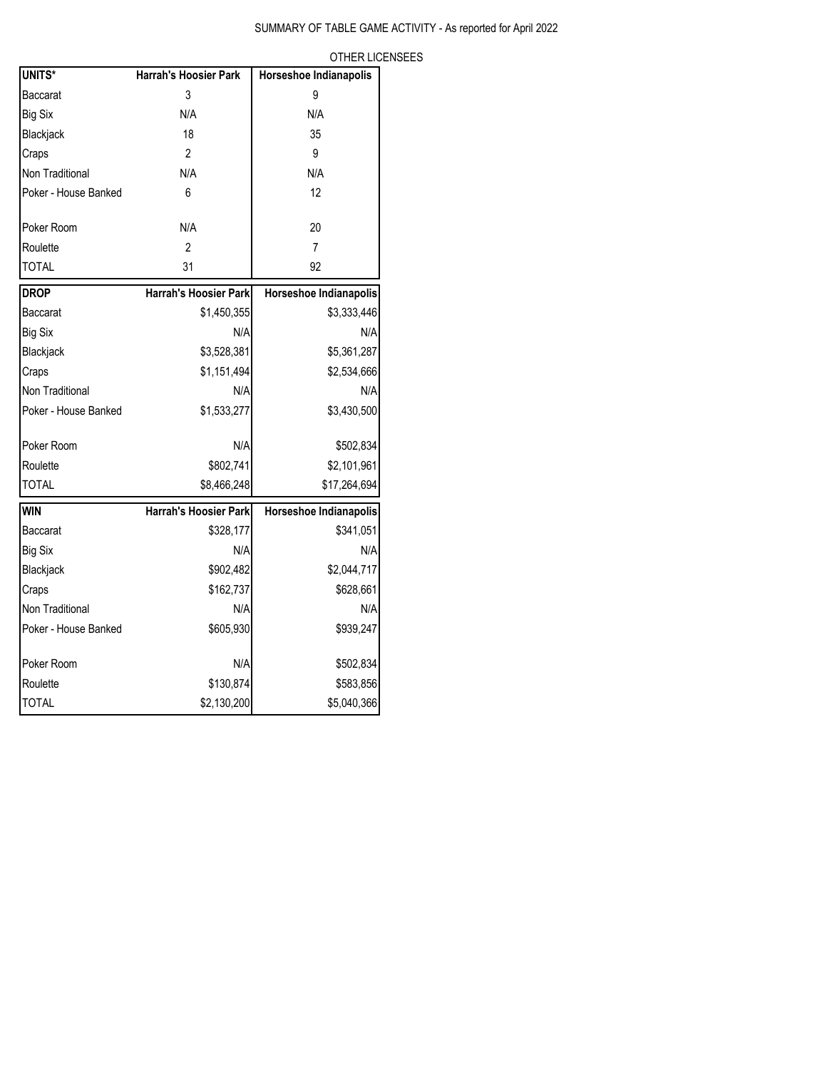| UNITS*               | <b>Harrah's Hoosier Park</b> | Horseshoe Indianapolis |
|----------------------|------------------------------|------------------------|
| <b>Baccarat</b>      | 3                            | 9                      |
| Big Six              | N/A                          | N/A                    |
| Blackjack            | 18                           | 35                     |
| Craps                | $\overline{2}$               | 9                      |
| Non Traditional      | N/A                          | N/A                    |
| Poker - House Banked | 6                            | 12                     |
| Poker Room           | N/A                          | 20                     |
| Roulette             | 2                            | $\overline{7}$         |
| <b>TOTAL</b>         | 31                           | 92                     |
| <b>DROP</b>          | <b>Harrah's Hoosier Park</b> | Horseshoe Indianapolis |
| <b>Baccarat</b>      | \$1,450,355                  | \$3,333,446            |
| Big Six              | N/A                          | N/A                    |
| Blackjack            | \$3,528,381                  | \$5,361,287            |
| Craps                | \$1,151,494                  | \$2,534,666            |
| Non Traditional      | N/A                          | N/A                    |
| Poker - House Banked | \$1,533,277                  | \$3,430,500            |
| Poker Room           | N/A                          | \$502,834              |
| Roulette             | \$802,741                    | \$2,101,961            |
| <b>TOTAL</b>         | \$8,466,248                  | \$17,264,694           |
| <b>WIN</b>           | Harrah's Hoosier Park        | Horseshoe Indianapolis |
| Baccarat             | \$328,177                    | \$341,051              |
| <b>Big Six</b>       | N/A                          | N/A                    |
| Blackjack            | \$902,482                    | \$2,044,717            |
| Craps                | \$162,737                    | \$628,661              |
| Non Traditional      | N/A                          | N/A                    |
| Poker - House Banked | \$605,930                    | \$939,247              |
| Poker Room           | N/A                          | \$502,834              |
| Roulette             | \$130,874                    | \$583,856              |
| <b>TOTAL</b>         | \$2,130,200                  | \$5,040,366            |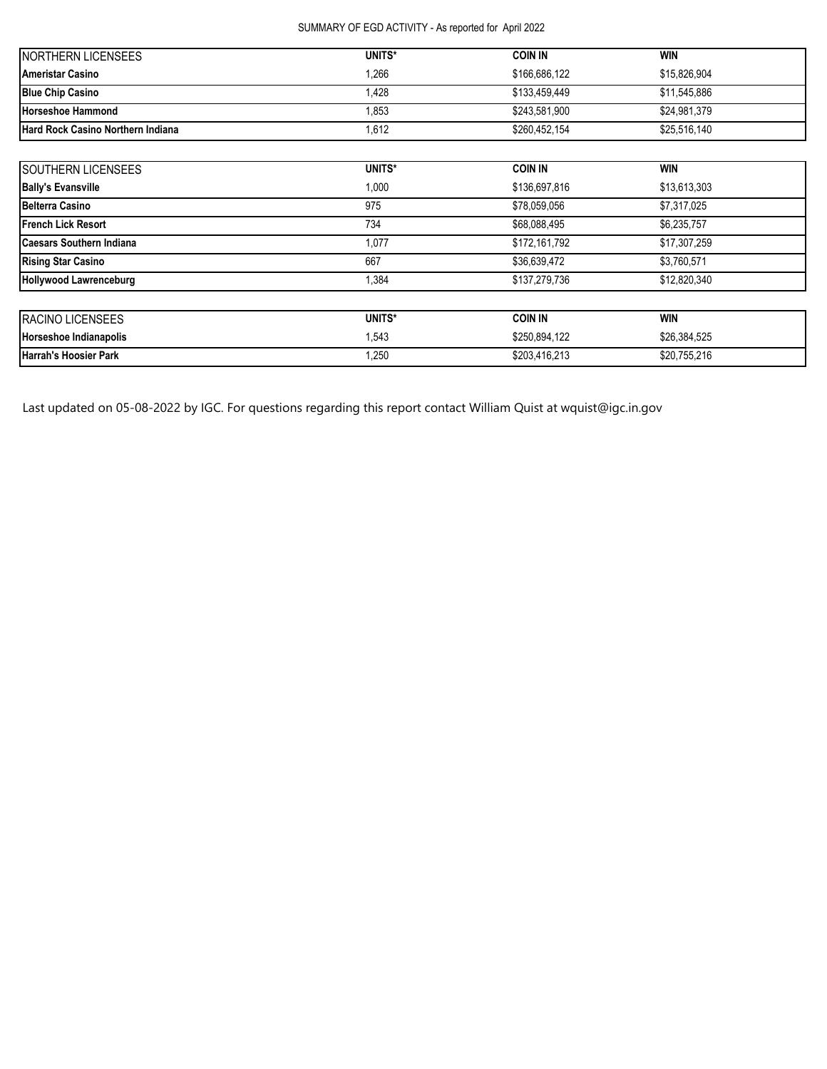# SUMMARY OF EGD ACTIVITY - As reported for April 2022

| <b>INORTHERN LICENSEES</b>               | UNITS* | <b>COIN IN</b> | <b>WIN</b>   |
|------------------------------------------|--------|----------------|--------------|
| <b>Ameristar Casino</b>                  | 1,266  | \$166,686,122  | \$15,826,904 |
| <b>Blue Chip Casino</b>                  | .428   | \$133.459.449  | \$11.545.886 |
| <b>Horseshoe Hammond</b>                 | .853   | \$243.581.900  | \$24,981,379 |
| <b>Hard Rock Casino Northern Indiana</b> | 1,612  | \$260,452,154  | \$25,516,140 |

| SOUTHERN LICENSEES              | UNITS* | <b>COIN IN</b> | <b>WIN</b>   |  |
|---------------------------------|--------|----------------|--------------|--|
| <b>Bally's Evansville</b>       | 1,000  | \$136,697,816  | \$13,613,303 |  |
| <b>Belterra Casino</b>          | 975    | \$78,059,056   | \$7,317,025  |  |
| <b>French Lick Resort</b>       | 734    | \$68,088,495   | \$6,235,757  |  |
| <b>Caesars Southern Indiana</b> | 1,077  | \$172,161,792  | \$17,307,259 |  |
| <b>Rising Star Casino</b>       | 667    | \$36,639,472   | \$3,760,571  |  |
| <b>Hollywood Lawrenceburg</b>   | 1,384  | \$137,279,736  | \$12,820,340 |  |
| <b>RACINO LICENSEES</b>         | UNITS* | <b>COIN IN</b> | <b>WIN</b>   |  |
| Horseshoe Indianapolis          | 1,543  | \$250,894,122  | \$26,384,525 |  |
| <b>Harrah's Hoosier Park</b>    | 1,250  | \$203,416,213  | \$20,755,216 |  |

Last updated on 05-08-2022 by IGC. For questions regarding this report contact William Quist at wquist@igc.in.gov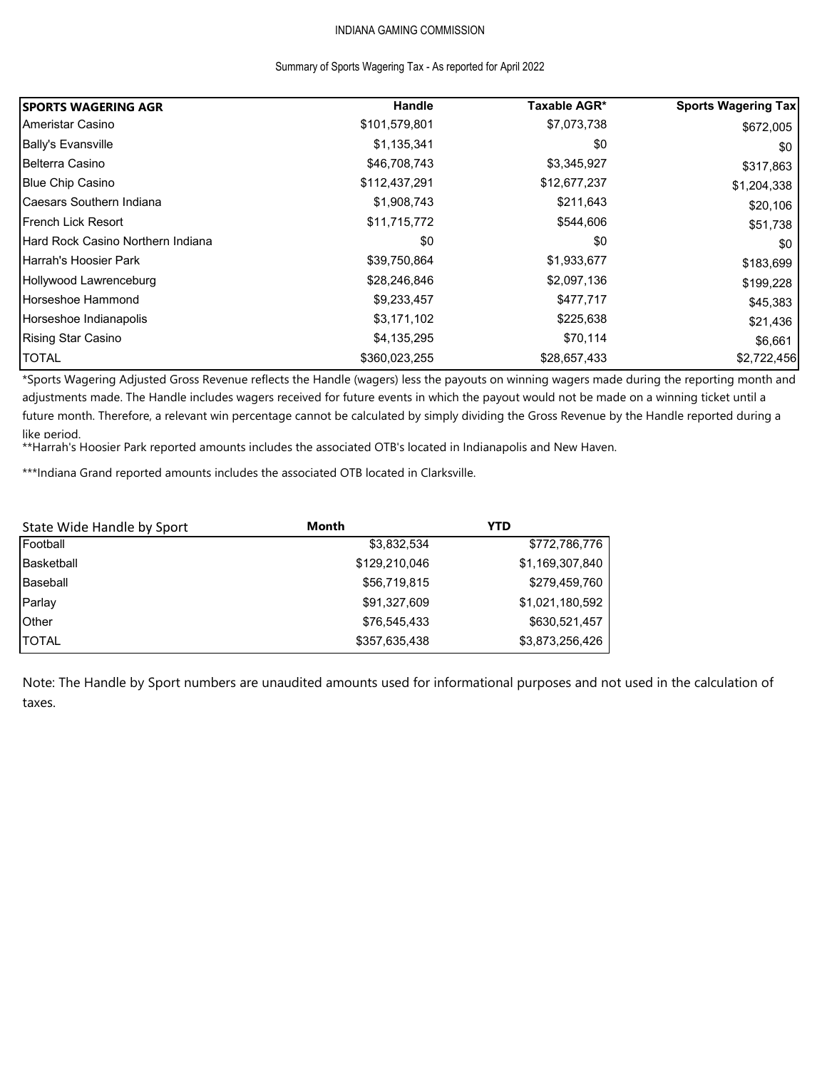# INDIANA GAMING COMMISSION

#### Summary of Sports Wagering Tax - As reported for April 2022

| <b>ISPORTS WAGERING AGR</b>       | Handle        | Taxable AGR* | <b>Sports Wagering Tax</b> |
|-----------------------------------|---------------|--------------|----------------------------|
| Ameristar Casino                  | \$101,579,801 | \$7,073,738  | \$672,005                  |
| Bally's Evansville                | \$1,135,341   | \$0          | \$0                        |
| Belterra Casino                   | \$46,708,743  | \$3,345,927  | \$317,863                  |
| <b>Blue Chip Casino</b>           | \$112,437,291 | \$12,677,237 | \$1,204,338                |
| Caesars Southern Indiana          | \$1,908,743   | \$211,643    | \$20,106                   |
| <b>French Lick Resort</b>         | \$11,715,772  | \$544,606    | \$51,738                   |
| Hard Rock Casino Northern Indiana | \$0           | \$0          | \$0                        |
| <b>I</b> Harrah's Hoosier Park    | \$39,750,864  | \$1,933,677  | \$183,699                  |
| Hollywood Lawrenceburg            | \$28,246,846  | \$2,097,136  | \$199,228                  |
| Horseshoe Hammond                 | \$9,233,457   | \$477,717    | \$45,383                   |
| Horseshoe Indianapolis            | \$3,171,102   | \$225,638    | \$21,436                   |
| <b>Rising Star Casino</b>         | \$4,135,295   | \$70,114     | \$6,661                    |
| <b>TOTAL</b>                      | \$360,023,255 | \$28,657,433 | \$2,722,456                |

\*Sports Wagering Adjusted Gross Revenue reflects the Handle (wagers) less the payouts on winning wagers made during the reporting month and adjustments made. The Handle includes wagers received for future events in which the payout would not be made on a winning ticket until a future month. Therefore, a relevant win percentage cannot be calculated by simply dividing the Gross Revenue by the Handle reported during a like period.

\*\*Harrah's Hoosier Park reported amounts includes the associated OTB's located in Indianapolis and New Haven.

\*\*\*Indiana Grand reported amounts includes the associated OTB located in Clarksville.

| State Wide Handle by Sport | Month         | YTD             |
|----------------------------|---------------|-----------------|
| Football                   | \$3,832,534   | \$772,786,776   |
| Basketball                 | \$129,210,046 | \$1,169,307,840 |
| Baseball                   | \$56,719,815  | \$279,459,760   |
| Parlay                     | \$91,327,609  | \$1,021,180,592 |
| <b>Other</b>               | \$76,545,433  | \$630,521,457   |
| ITOTAL                     | \$357,635,438 | \$3,873,256,426 |

Note: The Handle by Sport numbers are unaudited amounts used for informational purposes and not used in the calculation of taxes.